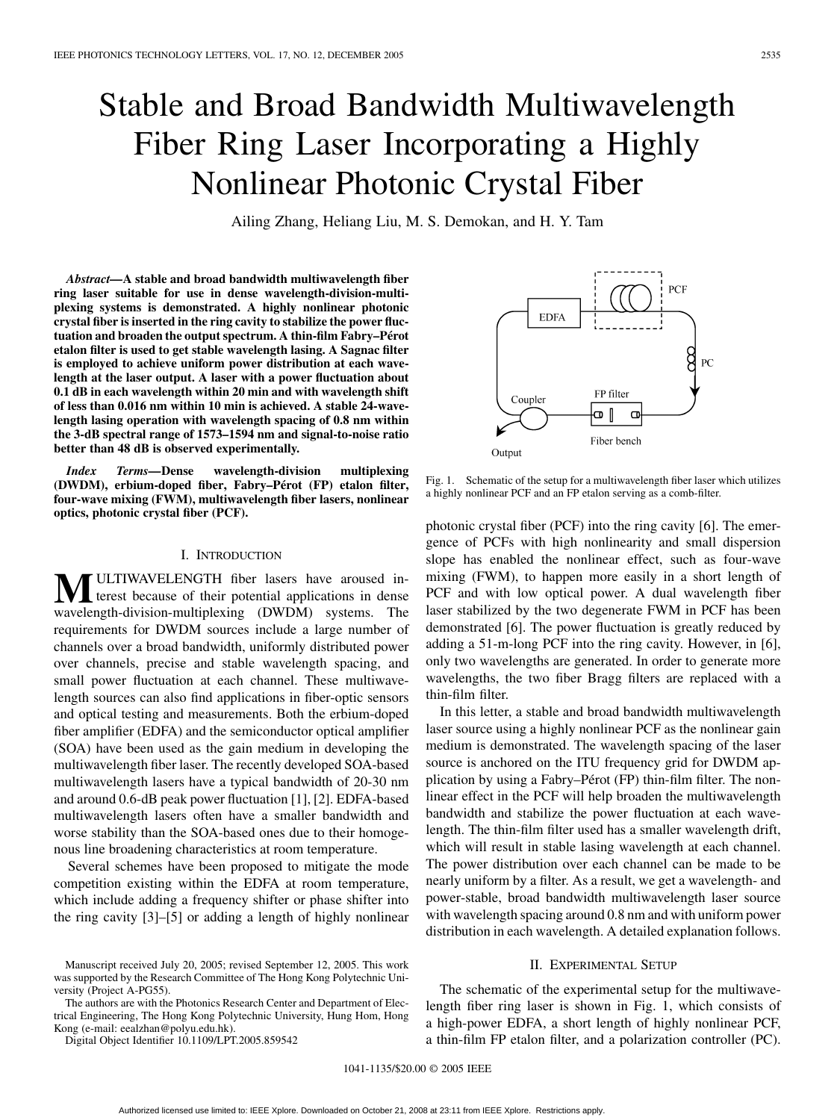# Stable and Broad Bandwidth Multiwavelength Fiber Ring Laser Incorporating a Highly Nonlinear Photonic Crystal Fiber

Ailing Zhang, Heliang Liu, M. S. Demokan, and H. Y. Tam

*Abstract—***A stable and broad bandwidth multiwavelength fiber ring laser suitable for use in dense wavelength-division-multiplexing systems is demonstrated. A highly nonlinear photonic crystal fiber is inserted in the ring cavity to stabilize the power fluctuation and broaden the output spectrum. A thin-film Fabry–Pérot etalon filter is used to get stable wavelength lasing. A Sagnac filter is employed to achieve uniform power distribution at each wavelength at the laser output. A laser with a power fluctuation about 0.1 dB in each wavelength within 20 min and with wavelength shift of less than 0.016 nm within 10 min is achieved. A stable 24-wavelength lasing operation with wavelength spacing of 0.8 nm within the 3-dB spectral range of 1573–1594 nm and signal-to-noise ratio better than 48 dB is observed experimentally.**

*Index Terms—***Dense wavelength-division multiplexing (DWDM), erbium-doped fiber, Fabry–Pérot (FP) etalon filter, four-wave mixing (FWM), multiwavelength fiber lasers, nonlinear optics, photonic crystal fiber (PCF).**

#### I. INTRODUCTION

**M**ULTIWAVELENGTH fiber lasers have aroused interest because of their potential applications in dense wavelength-division-multiplexing (DWDM) systems. The requirements for DWDM sources include a large number of channels over a broad bandwidth, uniformly distributed power over channels, precise and stable wavelength spacing, and small power fluctuation at each channel. These multiwavelength sources can also find applications in fiber-optic sensors and optical testing and measurements. Both the erbium-doped fiber amplifier (EDFA) and the semiconductor optical amplifier (SOA) have been used as the gain medium in developing the multiwavelength fiber laser. The recently developed SOA-based multiwavelength lasers have a typical bandwidth of 20-30 nm and around 0.6-dB peak power fluctuation [[1\]](#page-2-0), [\[2](#page-2-0)]. EDFA-based multiwavelength lasers often have a smaller bandwidth and worse stability than the SOA-based ones due to their homogenous line broadening characteristics at room temperature.

Several schemes have been proposed to mitigate the mode competition existing within the EDFA at room temperature, which include adding a frequency shifter or phase shifter into the ring cavity [\[3](#page-2-0)]–[[5\]](#page-2-0) or adding a length of highly nonlinear

The authors are with the Photonics Research Center and Department of Electrical Engineering, The Hong Kong Polytechnic University, Hung Hom, Hong Kong (e-mail: eealzhan@polyu.edu.hk).

Digital Object Identifier 10.1109/LPT.2005.859542

Coupler Ō  $\Box$ Fiber bench Output

Fig. 1. Schematic of the setup for a multiwavelength fiber laser which utilizes a highly nonlinear PCF and an FP etalon serving as a comb-filter.

photonic crystal fiber (PCF) into the ring cavity [[6\]](#page-2-0). The emergence of PCFs with high nonlinearity and small dispersion slope has enabled the nonlinear effect, such as four-wave mixing (FWM), to happen more easily in a short length of PCF and with low optical power. A dual wavelength fiber laser stabilized by the two degenerate FWM in PCF has been demonstrated [\[6](#page-2-0)]. The power fluctuation is greatly reduced by adding a 51-m-long PCF into the ring cavity. However, in [\[6](#page-2-0)], only two wavelengths are generated. In order to generate more wavelengths, the two fiber Bragg filters are replaced with a thin-film filter.

In this letter, a stable and broad bandwidth multiwavelength laser source using a highly nonlinear PCF as the nonlinear gain medium is demonstrated. The wavelength spacing of the laser source is anchored on the ITU frequency grid for DWDM application by using a Fabry–Pérot (FP) thin-film filter. The nonlinear effect in the PCF will help broaden the multiwavelength bandwidth and stabilize the power fluctuation at each wavelength. The thin-film filter used has a smaller wavelength drift, which will result in stable lasing wavelength at each channel. The power distribution over each channel can be made to be nearly uniform by a filter. As a result, we get a wavelength- and power-stable, broad bandwidth multiwavelength laser source with wavelength spacing around 0.8 nm and with uniform power distribution in each wavelength. A detailed explanation follows.

## II. EXPERIMENTAL SETUP

The schematic of the experimental setup for the multiwavelength fiber ring laser is shown in Fig. 1, which consists of a high-power EDFA, a short length of highly nonlinear PCF, a thin-film FP etalon filter, and a polarization controller (PC).



Manuscript received July 20, 2005; revised September 12, 2005. This work was supported by the Research Committee of The Hong Kong Polytechnic University (Project A-PG55).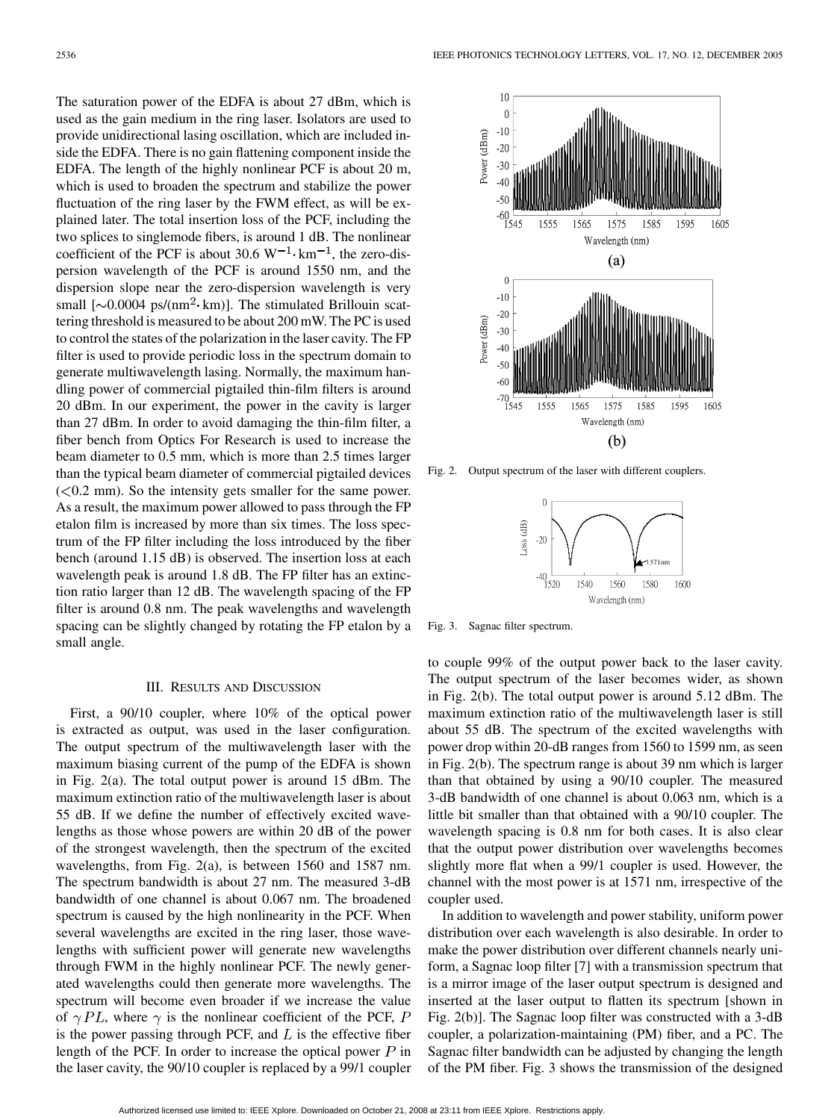The saturation power of the EDFA is about 27 dBm, which is used as the gain medium in the ring laser. Isolators are used to provide unidirectional lasing oscillation, which are included inside the EDFA. There is no gain flattening component inside the EDFA. The length of the highly nonlinear PCF is about 20 m, which is used to broaden the spectrum and stabilize the power fluctuation of the ring laser by the FWM effect, as will be explained later. The total insertion loss of the PCF, including the two splices to singlemode fibers, is around 1 dB. The nonlinear coefficient of the PCF is about 30.6  $W^{-1}$  $\cdot$  km<sup>-1</sup>, the zero-dispersion wavelength of the PCF is around 1550 nm, and the dispersion slope near the zero-dispersion wavelength is very small  $[\sim 0.0004 \text{ ps/(nm}^2 \cdot \text{km})]$ . The stimulated Brillouin scattering threshold is measured to be about 200 mW. The PC is used to control the states of the polarization in the laser cavity. The FP filter is used to provide periodic loss in the spectrum domain to generate multiwavelength lasing. Normally, the maximum handling power of commercial pigtailed thin-film filters is around 20 dBm. In our experiment, the power in the cavity is larger than 27 dBm. In order to avoid damaging the thin-film filter, a fiber bench from Optics For Research is used to increase the beam diameter to 0.5 mm, which is more than 2.5 times larger than the typical beam diameter of commercial pigtailed devices  $(< 0.2$  mm). So the intensity gets smaller for the same power. As a result, the maximum power allowed to pass through the FP etalon film is increased by more than six times. The loss spectrum of the FP filter including the loss introduced by the fiber bench (around 1.15 dB) is observed. The insertion loss at each wavelength peak is around 1.8 dB. The FP filter has an extinction ratio larger than 12 dB. The wavelength spacing of the FP filter is around 0.8 nm. The peak wavelengths and wavelength spacing can be slightly changed by rotating the FP etalon by a small angle.

### III. RESULTS AND DISCUSSION

First, a 90/10 coupler, where 10% of the optical power is extracted as output, was used in the laser configuration. The output spectrum of the multiwavelength laser with the maximum biasing current of the pump of the EDFA is shown in Fig. 2(a). The total output power is around 15 dBm. The maximum extinction ratio of the multiwavelength laser is about 55 dB. If we define the number of effectively excited wavelengths as those whose powers are within 20 dB of the power of the strongest wavelength, then the spectrum of the excited wavelengths, from Fig. 2(a), is between 1560 and 1587 nm. The spectrum bandwidth is about 27 nm. The measured 3-dB bandwidth of one channel is about 0.067 nm. The broadened spectrum is caused by the high nonlinearity in the PCF. When several wavelengths are excited in the ring laser, those wavelengths with sufficient power will generate new wavelengths through FWM in the highly nonlinear PCF. The newly generated wavelengths could then generate more wavelengths. The spectrum will become even broader if we increase the value of  $\gamma PL$ , where  $\gamma$  is the nonlinear coefficient of the PCF, P is the power passing through PCF, and  $L$  is the effective fiber length of the PCF. In order to increase the optical power  $P$  in the laser cavity, the 90/10 coupler is replaced by a 99/1 coupler



Fig. 2. Output spectrum of the laser with different couplers.



Fig. 3. Sagnac filter spectrum.

to couple 99% of the output power back to the laser cavity. The output spectrum of the laser becomes wider, as shown in Fig. 2(b). The total output power is around 5.12 dBm. The maximum extinction ratio of the multiwavelength laser is still about 55 dB. The spectrum of the excited wavelengths with power drop within 20-dB ranges from 1560 to 1599 nm, as seen in Fig. 2(b). The spectrum range is about 39 nm which is larger than that obtained by using a 90/10 coupler. The measured 3-dB bandwidth of one channel is about 0.063 nm, which is a little bit smaller than that obtained with a 90/10 coupler. The wavelength spacing is 0.8 nm for both cases. It is also clear that the output power distribution over wavelengths becomes slightly more flat when a 99/1 coupler is used. However, the channel with the most power is at 1571 nm, irrespective of the coupler used.

In addition to wavelength and power stability, uniform power distribution over each wavelength is also desirable. In order to make the power distribution over different channels nearly uniform, a Sagnac loop filter [\[7](#page-2-0)] with a transmission spectrum that is a mirror image of the laser output spectrum is designed and inserted at the laser output to flatten its spectrum [shown in Fig. 2(b)]. The Sagnac loop filter was constructed with a 3-dB coupler, a polarization-maintaining (PM) fiber, and a PC. The Sagnac filter bandwidth can be adjusted by changing the length of the PM fiber. Fig. 3 shows the transmission of the designed